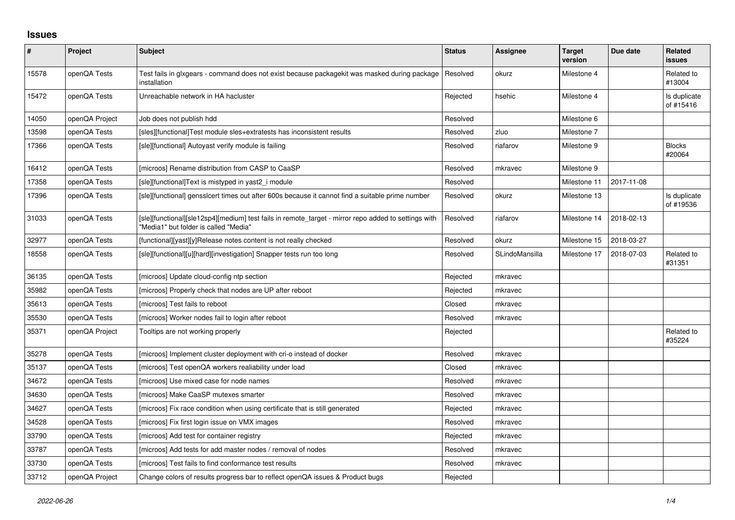## **Issues**

| $\sharp$ | Project        | Subject                                                                                                                                       | <b>Status</b> | <b>Assignee</b> | <b>Target</b><br>version | Due date   | <b>Related</b><br>issues  |
|----------|----------------|-----------------------------------------------------------------------------------------------------------------------------------------------|---------------|-----------------|--------------------------|------------|---------------------------|
| 15578    | openQA Tests   | Test fails in glxgears - command does not exist because packagekit was masked during package<br>installation                                  | Resolved      | okurz           | Milestone 4              |            | Related to<br>#13004      |
| 15472    | openQA Tests   | Unreachable network in HA hacluster                                                                                                           | Rejected      | hsehic          | Milestone 4              |            | Is duplicate<br>of #15416 |
| 14050    | openQA Project | Job does not publish hdd                                                                                                                      | Resolved      |                 | Milestone 6              |            |                           |
| 13598    | openQA Tests   | [sles][functional]Test module sles+extratests has inconsistent results                                                                        | Resolved      | zluo            | Milestone 7              |            |                           |
| 17366    | openQA Tests   | [sle][functional] Autoyast verify module is failing                                                                                           | Resolved      | riafarov        | Milestone 9              |            | <b>Blocks</b><br>#20064   |
| 16412    | openQA Tests   | [microos] Rename distribution from CASP to CaaSP                                                                                              | Resolved      | mkravec         | Milestone 9              |            |                           |
| 17358    | openQA Tests   | [sle][functional]Text is mistyped in yast2 i module                                                                                           | Resolved      |                 | Milestone 11             | 2017-11-08 |                           |
| 17396    | openQA Tests   | [sle][functional] gensslcert times out after 600s because it cannot find a suitable prime number                                              | Resolved      | okurz           | Milestone 13             |            | Is duplicate<br>of #19536 |
| 31033    | openQA Tests   | [sle][functional][sle12sp4][medium] test fails in remote_target - mirror repo added to settings with<br>"Media1" but folder is called "Media" | Resolved      | riafarov        | Milestone 14             | 2018-02-13 |                           |
| 32977    | openQA Tests   | [functional][yast][y]Release notes content is not really checked                                                                              | Resolved      | okurz           | Milestone 15             | 2018-03-27 |                           |
| 18558    | openQA Tests   | [sle][functional][u][hard][investigation] Snapper tests run too long                                                                          | Resolved      | SLindoMansilla  | Milestone 17             | 2018-07-03 | Related to<br>#31351      |
| 36135    | openQA Tests   | [microos] Update cloud-config ntp section                                                                                                     | Rejected      | mkravec         |                          |            |                           |
| 35982    | openQA Tests   | [microos] Properly check that nodes are UP after reboot                                                                                       | Rejected      | mkravec         |                          |            |                           |
| 35613    | openQA Tests   | [microos] Test fails to reboot                                                                                                                | Closed        | mkravec         |                          |            |                           |
| 35530    | openQA Tests   | [microos] Worker nodes fail to login after reboot                                                                                             | Resolved      | mkravec         |                          |            |                           |
| 35371    | openQA Project | Tooltips are not working properly                                                                                                             | Rejected      |                 |                          |            | Related to<br>#35224      |
| 35278    | openQA Tests   | [microos] Implement cluster deployment with cri-o instead of docker                                                                           | Resolved      | mkravec         |                          |            |                           |
| 35137    | openQA Tests   | [microos] Test openQA workers realiability under load                                                                                         | Closed        | mkravec         |                          |            |                           |
| 34672    | openQA Tests   | [microos] Use mixed case for node names                                                                                                       | Resolved      | mkravec         |                          |            |                           |
| 34630    | openQA Tests   | [microos] Make CaaSP mutexes smarter                                                                                                          | Resolved      | mkravec         |                          |            |                           |
| 34627    | openQA Tests   | [microos] Fix race condition when using certificate that is still generated                                                                   | Rejected      | mkravec         |                          |            |                           |
| 34528    | openQA Tests   | [microos] Fix first login issue on VMX images                                                                                                 | Resolved      | mkravec         |                          |            |                           |
| 33790    | openQA Tests   | [microos] Add test for container registry                                                                                                     | Rejected      | mkravec         |                          |            |                           |
| 33787    | openQA Tests   | [microos] Add tests for add master nodes / removal of nodes                                                                                   | Resolved      | mkravec         |                          |            |                           |
| 33730    | openQA Tests   | [microos] Test fails to find conformance test results                                                                                         | Resolved      | mkravec         |                          |            |                           |
| 33712    | openQA Project | Change colors of results progress bar to reflect openQA issues & Product bugs                                                                 | Rejected      |                 |                          |            |                           |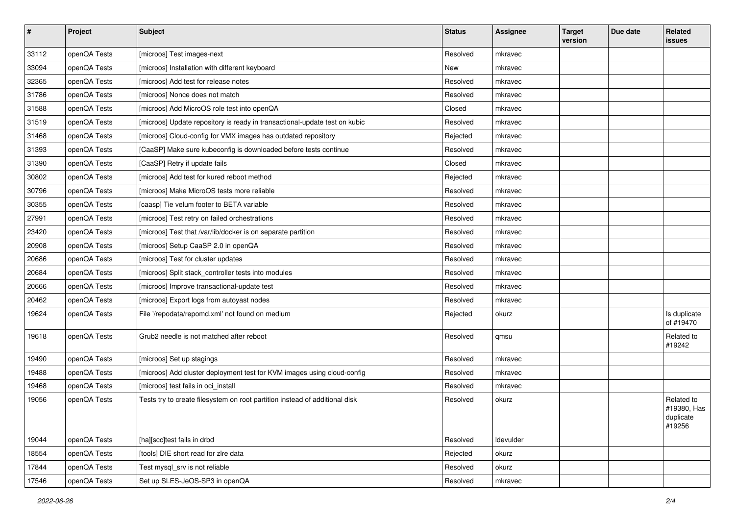| $\sharp$ | Project      | <b>Subject</b>                                                              | <b>Status</b> | <b>Assignee</b> | <b>Target</b><br>version | Due date | Related<br><b>issues</b>                         |
|----------|--------------|-----------------------------------------------------------------------------|---------------|-----------------|--------------------------|----------|--------------------------------------------------|
| 33112    | openQA Tests | [microos] Test images-next                                                  | Resolved      | mkravec         |                          |          |                                                  |
| 33094    | openQA Tests | [microos] Installation with different keyboard                              | New           | mkravec         |                          |          |                                                  |
| 32365    | openQA Tests | [microos] Add test for release notes                                        | Resolved      | mkravec         |                          |          |                                                  |
| 31786    | openQA Tests | [microos] Nonce does not match                                              | Resolved      | mkravec         |                          |          |                                                  |
| 31588    | openQA Tests | [microos] Add MicroOS role test into openQA                                 | Closed        | mkravec         |                          |          |                                                  |
| 31519    | openQA Tests | [microos] Update repository is ready in transactional-update test on kubic  | Resolved      | mkravec         |                          |          |                                                  |
| 31468    | openQA Tests | [microos] Cloud-config for VMX images has outdated repository               | Rejected      | mkravec         |                          |          |                                                  |
| 31393    | openQA Tests | [CaaSP] Make sure kubeconfig is downloaded before tests continue            | Resolved      | mkravec         |                          |          |                                                  |
| 31390    | openQA Tests | [CaaSP] Retry if update fails                                               | Closed        | mkravec         |                          |          |                                                  |
| 30802    | openQA Tests | [microos] Add test for kured reboot method                                  | Rejected      | mkravec         |                          |          |                                                  |
| 30796    | openQA Tests | [microos] Make MicroOS tests more reliable                                  | Resolved      | mkravec         |                          |          |                                                  |
| 30355    | openQA Tests | [caasp] Tie velum footer to BETA variable                                   | Resolved      | mkravec         |                          |          |                                                  |
| 27991    | openQA Tests | [microos] Test retry on failed orchestrations                               | Resolved      | mkravec         |                          |          |                                                  |
| 23420    | openQA Tests | [microos] Test that /var/lib/docker is on separate partition                | Resolved      | mkravec         |                          |          |                                                  |
| 20908    | openQA Tests | [microos] Setup CaaSP 2.0 in openQA                                         | Resolved      | mkravec         |                          |          |                                                  |
| 20686    | openQA Tests | [microos] Test for cluster updates                                          | Resolved      | mkravec         |                          |          |                                                  |
| 20684    | openQA Tests | [microos] Split stack_controller tests into modules                         | Resolved      | mkravec         |                          |          |                                                  |
| 20666    | openQA Tests | [microos] Improve transactional-update test                                 | Resolved      | mkravec         |                          |          |                                                  |
| 20462    | openQA Tests | [microos] Export logs from autoyast nodes                                   | Resolved      | mkravec         |                          |          |                                                  |
| 19624    | openQA Tests | File '/repodata/repomd.xml' not found on medium                             | Rejected      | okurz           |                          |          | Is duplicate<br>of #19470                        |
| 19618    | openQA Tests | Grub <sub>2</sub> needle is not matched after reboot                        | Resolved      | qmsu            |                          |          | Related to<br>#19242                             |
| 19490    | openQA Tests | [microos] Set up stagings                                                   | Resolved      | mkravec         |                          |          |                                                  |
| 19488    | openQA Tests | [microos] Add cluster deployment test for KVM images using cloud-config     | Resolved      | mkravec         |                          |          |                                                  |
| 19468    | openQA Tests | [microos] test fails in oci_install                                         | Resolved      | mkravec         |                          |          |                                                  |
| 19056    | openQA Tests | Tests try to create filesystem on root partition instead of additional disk | Resolved      | okurz           |                          |          | Related to<br>#19380, Has<br>duplicate<br>#19256 |
| 19044    | openQA Tests | [ha][scc]test fails in drbd                                                 | Resolved      | Idevulder       |                          |          |                                                  |
| 18554    | openQA Tests | [tools] DIE short read for zire data                                        | Rejected      | okurz           |                          |          |                                                  |
| 17844    | openQA Tests | Test mysql_srv is not reliable                                              | Resolved      | okurz           |                          |          |                                                  |
| 17546    | openQA Tests | Set up SLES-JeOS-SP3 in openQA                                              | Resolved      | mkravec         |                          |          |                                                  |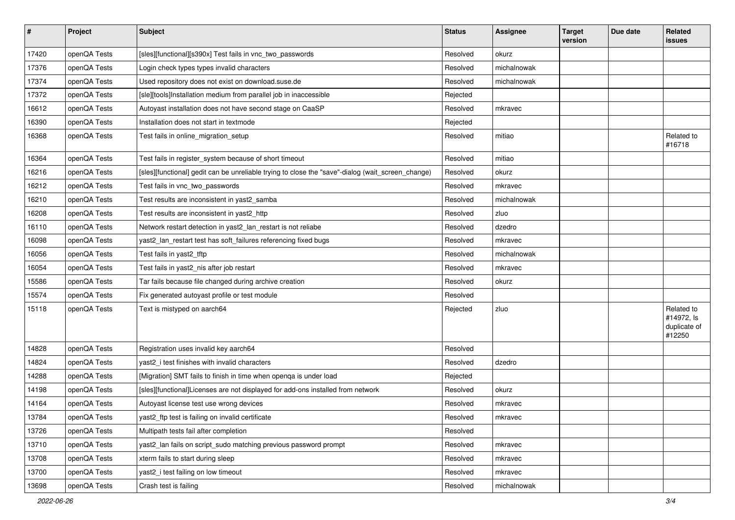| $\vert$ # | Project      | <b>Subject</b>                                                                                    | <b>Status</b> | <b>Assignee</b> | <b>Target</b><br>version | Due date | Related<br>issues                                  |
|-----------|--------------|---------------------------------------------------------------------------------------------------|---------------|-----------------|--------------------------|----------|----------------------------------------------------|
| 17420     | openQA Tests | [sles][functional][s390x] Test fails in vnc_two_passwords                                         | Resolved      | okurz           |                          |          |                                                    |
| 17376     | openQA Tests | Login check types types invalid characters                                                        | Resolved      | michalnowak     |                          |          |                                                    |
| 17374     | openQA Tests | Used repository does not exist on download.suse.de                                                | Resolved      | michalnowak     |                          |          |                                                    |
| 17372     | openQA Tests | [sle][tools]Installation medium from parallel job in inaccessible                                 | Rejected      |                 |                          |          |                                                    |
| 16612     | openQA Tests | Autoyast installation does not have second stage on CaaSP                                         | Resolved      | mkravec         |                          |          |                                                    |
| 16390     | openQA Tests | Installation does not start in textmode                                                           | Rejected      |                 |                          |          |                                                    |
| 16368     | openQA Tests | Test fails in online_migration_setup                                                              | Resolved      | mitiao          |                          |          | Related to<br>#16718                               |
| 16364     | openQA Tests | Test fails in register_system because of short timeout                                            | Resolved      | mitiao          |                          |          |                                                    |
| 16216     | openQA Tests | [sles][functional] gedit can be unreliable trying to close the "save"-dialog (wait_screen_change) | Resolved      | okurz           |                          |          |                                                    |
| 16212     | openQA Tests | Test fails in vnc_two_passwords                                                                   | Resolved      | mkravec         |                          |          |                                                    |
| 16210     | openQA Tests | Test results are inconsistent in yast2_samba                                                      | Resolved      | michalnowak     |                          |          |                                                    |
| 16208     | openQA Tests | Test results are inconsistent in yast2_http                                                       | Resolved      | zluo            |                          |          |                                                    |
| 16110     | openQA Tests | Network restart detection in yast2_lan_restart is not reliabe                                     | Resolved      | dzedro          |                          |          |                                                    |
| 16098     | openQA Tests | yast2_lan_restart test has soft_failures referencing fixed bugs                                   | Resolved      | mkravec         |                          |          |                                                    |
| 16056     | openQA Tests | Test fails in yast2_tftp                                                                          | Resolved      | michalnowak     |                          |          |                                                    |
| 16054     | openQA Tests | Test fails in yast2_nis after job restart                                                         | Resolved      | mkravec         |                          |          |                                                    |
| 15586     | openQA Tests | Tar fails because file changed during archive creation                                            | Resolved      | okurz           |                          |          |                                                    |
| 15574     | openQA Tests | Fix generated autoyast profile or test module                                                     | Resolved      |                 |                          |          |                                                    |
| 15118     | openQA Tests | Text is mistyped on aarch64                                                                       | Rejected      | zluo            |                          |          | Related to<br>#14972, ls<br>duplicate of<br>#12250 |
| 14828     | openQA Tests | Registration uses invalid key aarch64                                                             | Resolved      |                 |                          |          |                                                    |
| 14824     | openQA Tests | yast2_i test finishes with invalid characters                                                     | Resolved      | dzedro          |                          |          |                                                    |
| 14288     | openQA Tests | [Migration] SMT fails to finish in time when openga is under load                                 | Rejected      |                 |                          |          |                                                    |
| 14198     | openQA Tests | [sles][functional]Licenses are not displayed for add-ons installed from network                   | Resolved      | okurz           |                          |          |                                                    |
| 14164     | openQA Tests | Autoyast license test use wrong devices                                                           | Resolved      | mkravec         |                          |          |                                                    |
| 13784     | openQA Tests | yast2_ftp test is failing on invalid certificate                                                  | Resolved      | mkravec         |                          |          |                                                    |
| 13726     | openQA Tests | Multipath tests fail after completion                                                             | Resolved      |                 |                          |          |                                                    |
| 13710     | openQA Tests | yast2_lan fails on script_sudo matching previous password prompt                                  | Resolved      | mkravec         |                          |          |                                                    |
| 13708     | openQA Tests | xterm fails to start during sleep                                                                 | Resolved      | mkravec         |                          |          |                                                    |
| 13700     | openQA Tests | yast2_i test failing on low timeout                                                               | Resolved      | mkravec         |                          |          |                                                    |
| 13698     | openQA Tests | Crash test is failing                                                                             | Resolved      | michalnowak     |                          |          |                                                    |